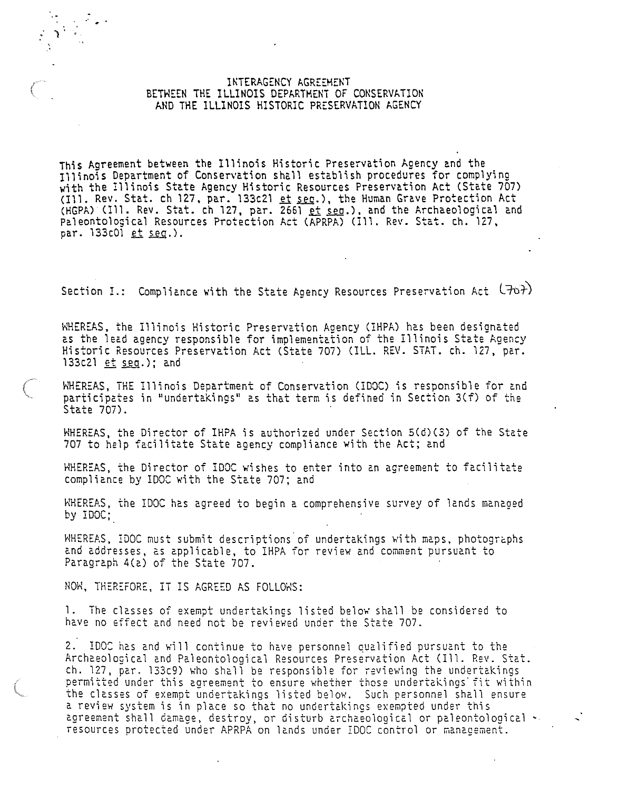### INTERAGENCY AGREEMENT BETWEEN THE ILLINOIS DEPARTHENT OF CONSERVATION AND THE ILLINOIS HISTORIC PRESERVATION AGENCY

This Agreement between the Illinois Historic Preservation Agency and the<br>Illinois Department of Conservation shall establish procedures for complying with the Illinois State Agency Historic Resources Preservation Act (State 707) (111. Rev. Stat. ch 127, par. 133c21 et sec.), the Human Grave Protection Act<br>(HGPA) (Ill. Rev. Stat. ch 127, par. 2661 et sec.), and the Archaeological and Pa1eonto1ogica1 Resources Protection Act CAPRPA) (111. Rev. Stat. ch. 127, par. 133c01 et seq.).

Section I.: Compliance with the State Agency Resources Preservation Act  $(70<sup>2</sup>)$ 

WHEREAS, the Illinois Historic Preservation Agency (IHPA) has been designated as the lead agency responsible for implementation of the Illinois State Agency<br>Historic Resources Preservation Act (State 707) (ILL. REV. STAT. ch. 127, par.<br>133c21 <u>et seq</u>.); and

WHEREAS, THE Illinois Department of Conservation (IDOC) is responsible for and participates in "undertakings" as that term is defined in Section 3(f) of the State 707).

WHEREAS, the Director of IHPA is authorized under Section 5(d)(3) of the State 707 to help facilitate State agency compliance with the Act; and

WHEREAS, the Director of IDOC wishes to enter into an agreement to facilitate compliance by IDOC with the State 707; and

WHEREAS, the IDOC has agreed to begin a comprehensive survey of lands managed by IDOC;

WHEREAS, IDOC must submit descriptions of undertakings with maps, photographs and addresses, as applicable, to IHPA for review and comment pursuant to Paragraph 4(a) of the State 707.

NOW, THEREFORE, IT IS AGREED AS FOLLOWS:

*\_:* ) .

1. The classes of exempt undertakings listed below shall be considered to have no Effect and need not be reviewed under the State 707.

2. IDOC has and will continue to have personnel qualified pursuant to the Archaeological and Paleontological Resources Preservation Act (Ill. Rev. Stat. ch. 127, par. 133c9) who shall be responsible for reviewing the undertakings **permitted under this agreement to ensure whether those undertakings· fit within**  the classes of exempt undertakings listed below. Such personnel shall ensure a review system is in place so that no undertakings exempted under this<br>agreement shall damage, destroy, or disturb archaeological or paleontological ~ resources protected under APRPA on lands under IDOC control or management.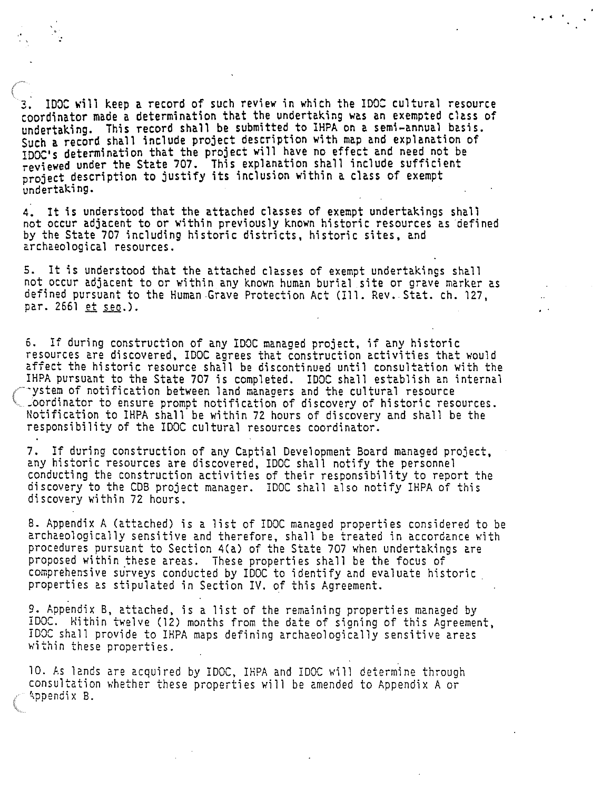IDOC will keep a record of such review in which the IDOC cultural resource coordinator made a determination that the undertaking was an exempted class of undertaking. This record shall be submitted to IHPA on a semi-annual basis. Such a record shall include project description with map and explanation of IDOC's determination that the project will have no effect and need not be reviewed under the State 707. This explanation shall include sufficient project description to justify its inclusion within a class of exempt undertaking.

4. It is understood that the attached classes of exempt undertakings shall not occur adjacent to or within previously known historic resources as defined by the State 707 including historic districts, historic sites, and archaeological resources.

5. It is understood that the attached classes of exempt undertakings shall not occur adjacent to or within any known human burial site or grave marker as defined pursuant to the Human Grave Protection Act (Ill. Rev. Stat. ch. 127, par. 2661 et seo.).

6. If during construction of any IDOC managed project, if any historic resources are discovered, IDOC agrees that construction activities that would affect the historic resource shall be discontinued until consultation with the IHPA pursuant to the State 707 is completed. IDOC shall establish an internal -ystem of notification between land manaoers and the cultural resource .oordinator to ensure prompt notification of discovery of historic resources. Notification to IHPA shall be within 72 hours of discovery and shall be the responsibility of the IDOC cultural resources coordinator.

7. If during construction of any Captial Development Board managed project, conducting the construction activities of their responsibility to report the discovery to the COB project manager. IDOC shall also notify IHPA of this discovery within 72 hours.

8. Appendix A (attached) is a list of IDOC managed properties considered to be archaeologically sensitive and therefore, shall be treated in accordance with procedures pursuant to Section 4(a) of the State 707 when undertakings are proposed within these areas. These properties shall be the focus of comprehensive surveys conducted by IDOC to identify and evaluate historic. properties as stipulated in Section IV. of this Agreement.

9. Appendix B, attached, is a list of the remaining properties managed by IDOC. Hithin twelve (12) months from the date of signing of this Agreement, IDOC shall provide to IHPA maps defining archaeologically sensitive areas within these properties.

10. As lands are acquired by IDOC, IHPA and !DOC will determine through consultation whether these properties will be amended to Appendix A or ~ppendi X B.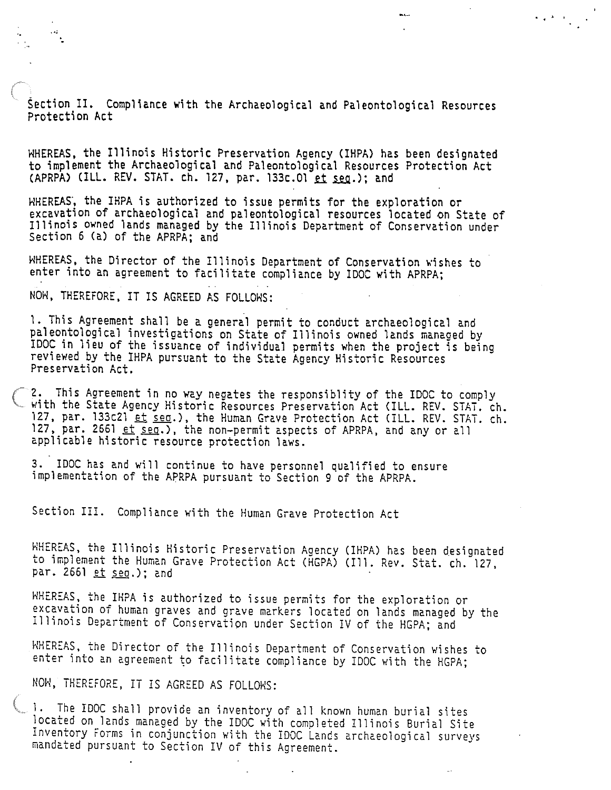Section II. Compliance **with** the Archaeological and Paleontological Resources Protection Act

 $\bullet$  +  $\bullet$  +  $\bullet$ 

WHEREAS, the Illinois Historic Preservation Agency (IHPA) has been designated to implement the Archaeological and Paleontological Resources Protection Act (APRPA) (ILL. REV. STAT. ch. 127, par. 133c.01 et seq.); and

WHEREAS, the IHPA is authorized to issue permits for the exploration or excavation of archaeological and paleontological resources located on State of Illinois owned lands managed by the Illinois Department of Conservation under Section 6 (a) of the APRPA; and

WHEREAS, the Director of the Illinois Department of Conservation wishes to enter into an agreement to facilitate compliance by IDOC with APRPA;

NOH, THEREFORE, IT IS AGREED AS FOLLOWS:

1. This Agreement shall be a general permit to conduct archaeological and IDOC in lieu of the issuance of individual permits when the project is being<br>reviewed by the IHPA pursuant to the State Agency Historic Resources Preservation Act.

2. This Agreement in no way negates the responsiblity of the IDOC to comply with the State Agency Historic Resources Preservation Act (ILL. REV. STAT. ch. 127, par. 133c21 et seq.), the Human Grave Protection Act (ILL. REV. STAT. ch. 127, par. 2661  $et$   $seq.$ ), the non-permit aspects of APRPA, and any or all applicable historic resource protection laws.

3. IDOC has and will continue to have personnel qualified to ensure implementation of the APRPA pursuant to Section 9 of the APRPA.

Section III. Compliance with the Human Grave Protection Act

WHEREAS, the Illinois Historic Preservation Agency (IHPA) has been designated to implement the Human Grave Protection Act (HGPA) (Ill. Rev. Stat. ch. 127, par. 2661 et seq.); and

WHEREAS, the IHPA is authorized to issue permits for the exploration or excavation of human graves and grave markers located on lands managed by the Illinois Department of Conservation under Section IV of the HGPA; and

WHEREAS, the Director of the Illinois Department of Conservation wishes to enter into an agreement to facilitate compliance by IDOC with the HGPA;

NOW, THEREFORE, IT IS AGREED AS FOLLOWS:

1. The IDOC shall provide an inventory of all known human burial sites located on lands managed by the IDOC with completed Illinois Burial Site Inventory Forms in conjunction with the IDOC Lands archaeological surveys mandated pursuant to Section IV of this Agreement.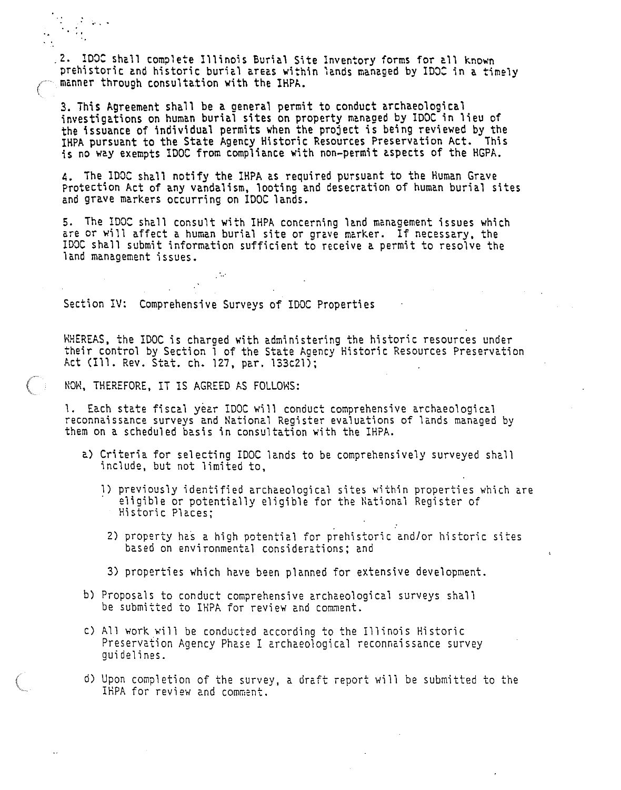2. IDOC shall complete Illinois Burial Site Inventory forms for all known prehistoric and historic burial areas within lands managed by IDOC in a timely manner through consultation with the lHPA.

3. This Agreement shall be a general permit to conduct archaeological<br>investigations on human burial sites on property managed by IDOC in lieu of the issuance of individual permits when the project is being reviewed by the IHPA pursuant to the State Agency Historic Resources Preservation Act. This is no way exempts IOOC from compliance with non-permit aspects of the HGPA.

4. The !DOC shall notify the lHPA as required pursuant to the Human Grave Protection Act of any vandalism, looting and desecration of human burial sites and grave markers occurring on IDOC lands.

5. The IDOC shall consult with IHPA concerning land management issues which are or will affect a human burial site or grave marker. If necessary, the IDOC shall submit information sufficient to receive a permit to resolve the land management issues.

Section IV: Comprehensive Surveys of IDOC Properties

WHEREAS, the IDOC is charged with administering the historic resources under their control by Section 1 of the State Agency Historic Resources Preservation Act (111. Rev. Stat. ch. 127, par. 133c21);

NOW, THEREFORE, IT IS AGREED AS FOLLOWS:

**Section** 

1. Each state fiscal year IDOC will conduct comprehensive archaeological reconnaissance surveys and National Register evaluations of lands managed by them on a scheduled basis in consultation with the IHPA.

- a) Criteria for selecting IDOC lands to be comprehensively surveyed shall include, but not limited to,
	- 1) previously identified archaeological sites within properties which are eligible or potentially eligible for the National Register of Historic Places;
		- 2) property has a high potential for prehistoric and/or historic sites based on environmental considerations; and
		- 3) properties which have been planned for extensive development.
- bl Proposals to conduct comprehensive archaeological surveys shall be submitted to IHPA for review and comment.
- c) All work will be conducted according to the Illinois Historic Preservation Agency Phase I archaeological reconnaissance survey guidelines.
- d) Upon completion of the survey, a draft report will be submitted to the IHPA for review and comment.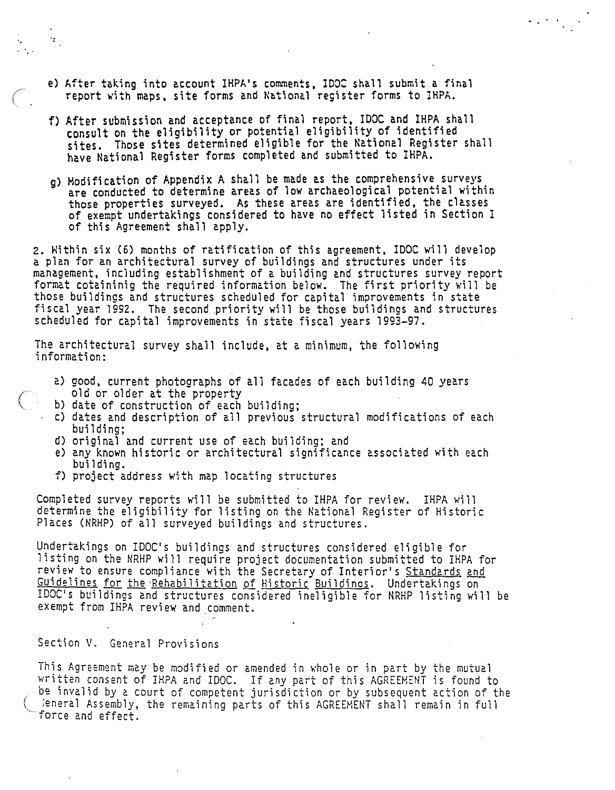- e) After taking into account IHPA's comments, IDOC shall submit a final report \lith maps, site forms and National register forms to IHPA.
- f) After submission and acceptance of final report, !DOC and IHPA shall consult on the eligibility or potential eligibility of identified sites. Those sites determined eligible for the National Register shall have National Register forms completed and submitted to IHPA.
- g) Hodification of Appendix A shall be made as the comprehensive surveys are conducted to determine areas of low archaeological potential within those properties surveyed. As these areas are identified, the classes of exempt undertakings considered to have no effect listed in Section I of this Agreement shall apply.

2. Within six (6) months of ratification of this agreement, !DOC will develop a plan for an architectural survey of buildings and structures under its<br>management, including establishment of a building and structures survey report format cotaininig the required information below. The first priority will be those buildings and structures scheduled for capital improvements in state fiscal year 1992. The second priority will be those buildings and structures scheduled for capital improvements in state fiscal years 1993-97.

The architectural survey shall include, at a minimum, the following information:

- 
- 

'•

 $\mathcal{Q}^{\pm}$ 

- a) good, current photographs of all facades of each building 40 years<br>old or older at the property<br>b) date of construction of each building;<br>c) dates and description of all previous structural modifications of each<br>buildin
- d) original and current use of each building; and
- e) any known historic or architectural significance associated with each
- $f$ ) project address with map locating structures

Completed survey reports will be submitted to IHPA for review. IHPA will determine the eligibility for listing on the National Register of Historic Places (NRHP) of all surveyed buildings and structures.

Undertakings on IDOC's buildings and structures considered eligible for listing on the NRHP will require project documentation submitted to IHPA for review to ensure compliance with the Secretary of Interior's Standards and Guidelines for the Rehabilitation of Historic Buildings. Undertakings on IDOC's buildings and structures considered ineligible for NRHP listing will be exempt from IHPA review and comment.

## Section V. General Provisions

This Agreement may be modified or amended in whole or in part by the mutual written consent of IHPA and IDOC. If any part of this AGREEMENT is found to be invalid by a court of competent jurisdiction or by subsequent action of the ;eneral Assembly, the remaining parts of this AGREEMENT shall remain in full force and effect.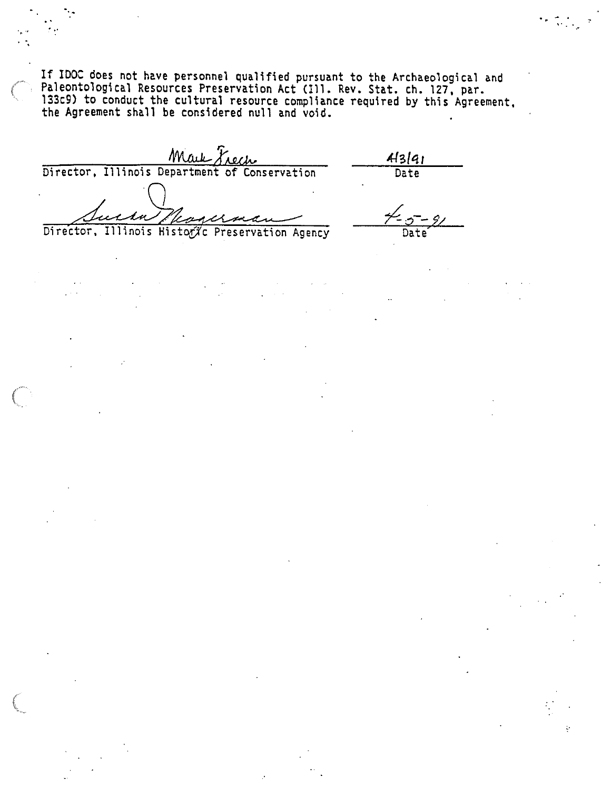If IDOC does not have personnel qualified pursuant to the Archaeological and Paleontological Resources Preservation Act (Ill. Rev. Stat. ch. 127, par.<br>133c9) to conduct the cultural resource compliance required by this Agreement, the Agreement shall be considered null and void.  $\frac{1}{2}$ .

. .

Mark Trech 1991  $43|q_1$ kanern Director, Illinois Historxc Preservation Agency Date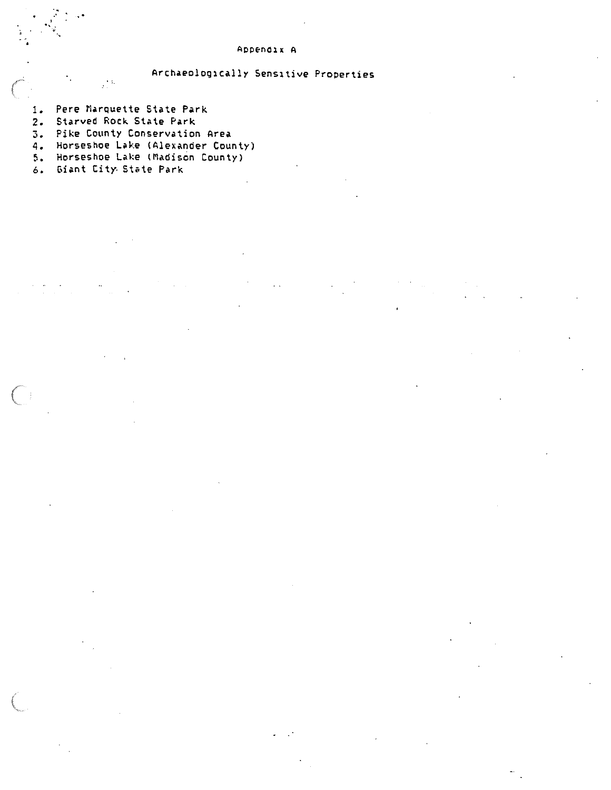#### Appendix A

# Archaeologically Sensitive Properties

- 1. Pere MarQuette State Park
- 2. Starved Rock State Park

ija.<br>S

 $\mathbf{r}$  '.

- 3. Pike County Conservation Area
- 4. Horseshoe Lake (Alexander County)
- 5. Horseshoe Lake (Madison County)
- 6. Giant City State Park